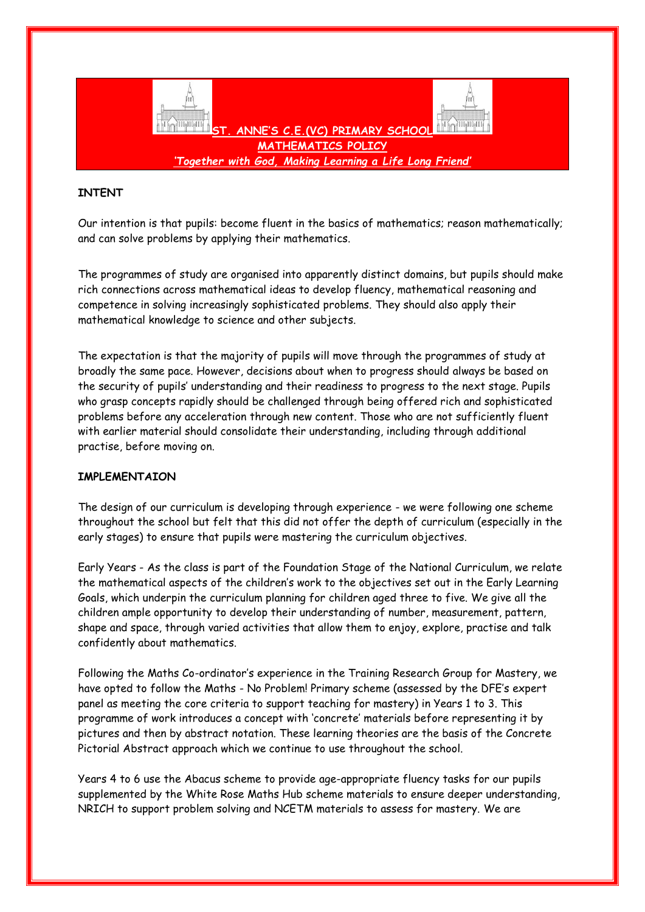

## **INTENT**

Our intention is that pupils: become fluent in the basics of mathematics; reason mathematically; and can solve problems by applying their mathematics.

The programmes of study are organised into apparently distinct domains, but pupils should make rich connections across mathematical ideas to develop fluency, mathematical reasoning and competence in solving increasingly sophisticated problems. They should also apply their mathematical knowledge to science and other subjects.

The expectation is that the majority of pupils will move through the programmes of study at broadly the same pace. However, decisions about when to progress should always be based on the security of pupils' understanding and their readiness to progress to the next stage. Pupils who grasp concepts rapidly should be challenged through being offered rich and sophisticated problems before any acceleration through new content. Those who are not sufficiently fluent with earlier material should consolidate their understanding, including through additional practise, before moving on.

## **IMPLEMENTAION**

The design of our curriculum is developing through experience - we were following one scheme throughout the school but felt that this did not offer the depth of curriculum (especially in the early stages) to ensure that pupils were mastering the curriculum objectives.

Early Years - As the class is part of the Foundation Stage of the National Curriculum, we relate the mathematical aspects of the children's work to the objectives set out in the Early Learning Goals, which underpin the curriculum planning for children aged three to five. We give all the children ample opportunity to develop their understanding of number, measurement, pattern, shape and space, through varied activities that allow them to enjoy, explore, practise and talk confidently about mathematics.

Following the Maths Co-ordinator's experience in the Training Research Group for Mastery, we have opted to follow the Maths - No Problem! Primary scheme (assessed by the DFE's expert panel as meeting the core criteria to support teaching for mastery) in Years 1 to 3. This programme of work introduces a concept with 'concrete' materials before representing it by pictures and then by abstract notation. These learning theories are the basis of the Concrete Pictorial Abstract approach which we continue to use throughout the school.

Years 4 to 6 use the Abacus scheme to provide age-appropriate fluency tasks for our pupils supplemented by the White Rose Maths Hub scheme materials to ensure deeper understanding, NRICH to support problem solving and NCETM materials to assess for mastery. We are